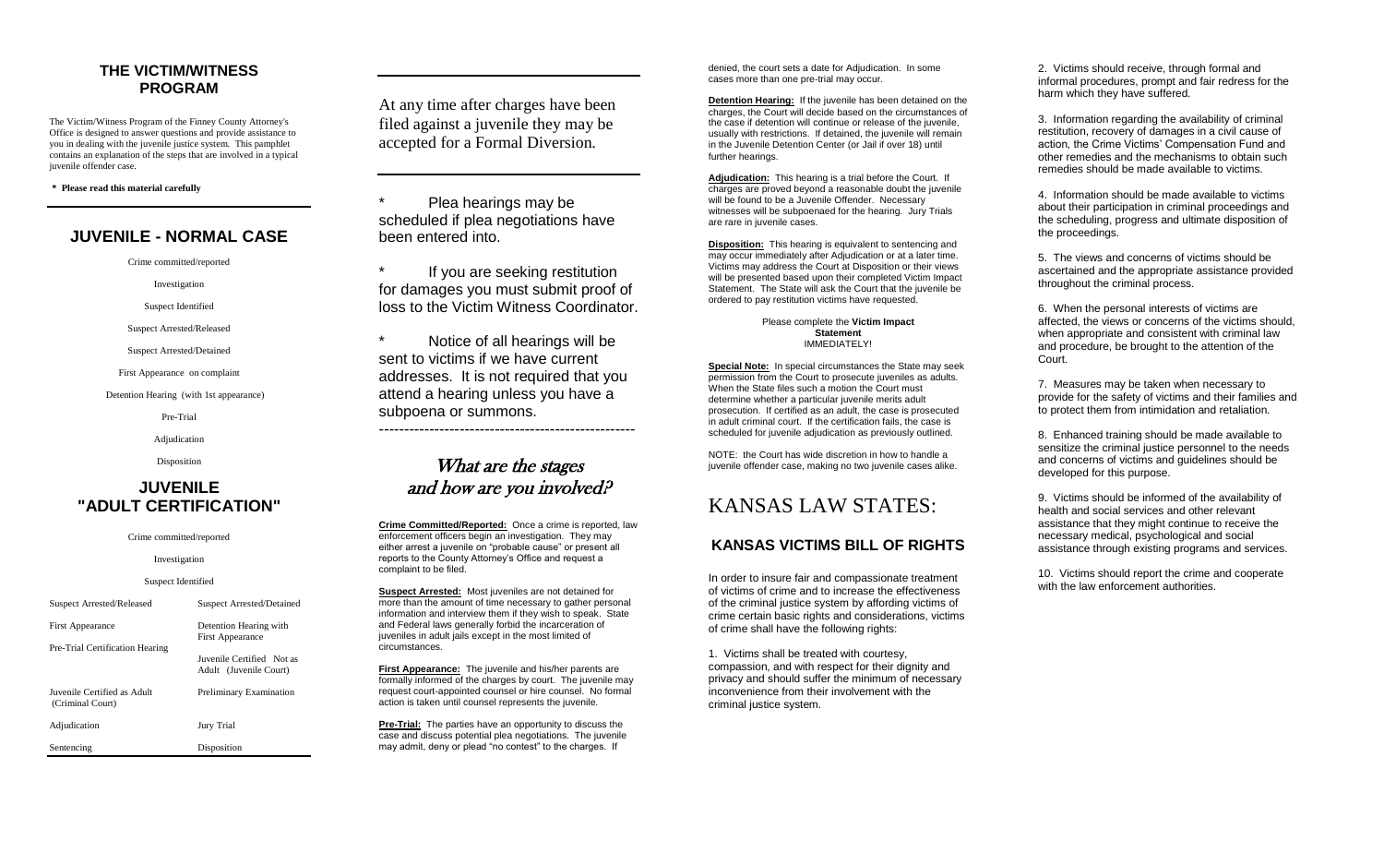## **THE VICTIM/WITNESS PROGRAM**

The Victim/Witness Program of the Finney County Attorney's Office is designed to answer questions and provide assistance to you in dealing with the juvenile justice system. This pamphlet contains an explanation of the steps that are involved in a typical juvenile offender case.

**\* Please read this material carefully**

## **JUVENILE - NORMAL CASE**

Crime committed/reported

Investigation

Suspect Identified

Suspect Arrested/Released

Suspect Arrested/Detained

First Appearance on complaint

Detention Hearing (with 1st appearance)

Pre-Trial

Adjudication

Disposition

## **JUVENILE "ADULT CERTIFICATION"**

### Crime committed/reported

Investigation

### Suspect Identified

| Suspect Arrested/Released                       | Suspect Arrested/Detained                           |
|-------------------------------------------------|-----------------------------------------------------|
| <b>First Appearance</b>                         | Detention Hearing with<br><b>First Appearance</b>   |
| Pre-Trial Certification Hearing                 | Juvenile Certified Not as<br>Adult (Juvenile Court) |
| Juvenile Certified as Adult<br>(Criminal Court) | Preliminary Examination                             |
| Adjudication                                    | Jury Trial                                          |
| Sentencing                                      | Disposition                                         |

At any time after charges have been filed against a juvenile they may be accepted for a Formal Diversion*.*

Plea hearings may be scheduled if plea negotiations have been entered into.

If you are seeking restitution for damages you must submit proof of loss to the Victim Witness Coordinator.

Notice of all hearings will be sent to victims if we have current addresses. It is not required that you attend a hearing unless you have a subpoena or summons.

---------------------------------------------------

## What are the stages and how are you involved?

**Crime Committed/Reported:** Once a crime is reported, law enforcement officers begin an investigation. They may either arrest a juvenile on "probable cause" or present all reports to the County Attorney's Office and request a complaint to be filed.

**Suspect Arrested:** Most juveniles are not detained for more than the amount of time necessary to gather personal information and interview them if they wish to speak. State and Federal laws generally forbid the incarceration of juveniles in adult jails except in the most limited of circumstances.

**First Appearance:** The juvenile and his/her parents are formally informed of the charges by court. The juvenile may request court-appointed counsel or hire counsel. No formal action is taken until counsel represents the juvenile.

**Pre-Trial:** The parties have an opportunity to discuss the case and discuss potential plea negotiations. The juvenile may admit, deny or plead "no contest" to the charges. If

denied, the court sets a date for Adjudication. In some cases more than one pre-trial may occur.

**Detention Hearing:** If the juvenile has been detained on the charges, the Court will decide based on the circumstances of the case if detention will continue or release of the juvenile, usually with restrictions. If detained, the juvenile will remain in the Juvenile Detention Center (or Jail if over 18) until further hearings.

**Adjudication:** This hearing is a trial before the Court. If charges are proved beyond a reasonable doubt the juvenile will be found to be a Juvenile Offender. Necessary witnesses will be subpoenaed for the hearing. Jury Trials are rare in juvenile cases.

**Disposition:** This hearing is equivalent to sentencing and may occur immediately after Adjudication or at a later time. Victims may address the Court at Disposition or their views will be presented based upon their completed Victim Impact Statement. The State will ask the Court that the juvenile be ordered to pay restitution victims have requested.

#### Please complete the **Victim Impact Statement** IMMEDIATELY!

**Special Note:** In special circumstances the State may seek permission from the Court to prosecute juveniles as adults. When the State files such a motion the Court must determine whether a particular juvenile merits adult prosecution. If certified as an adult, the case is prosecuted in adult criminal court. If the certification fails, the case is scheduled for juvenile adjudication as previously outlined.

NOTE: the Court has wide discretion in how to handle a juvenile offender case, making no two juvenile cases alike.

## KANSAS LAW STATES:

## **KANSAS VICTIMS BILL OF RIGHTS**

In order to insure fair and compassionate treatment of victims of crime and to increase the effectiveness of the criminal justice system by affording victims of crime certain basic rights and considerations, victims of crime shall have the following rights:

1. Victims shall be treated with courtesy, compassion, and with respect for their dignity and privacy and should suffer the minimum of necessary inconvenience from their involvement with the criminal justice system.

2. Victims should receive, through formal and informal procedures, prompt and fair redress for the harm which they have suffered.

3. Information regarding the availability of criminal restitution, recovery of damages in a civil cause of action, the Crime Victims' Compensation Fund and other remedies and the mechanisms to obtain such remedies should be made available to victims.

4. Information should be made available to victims about their participation in criminal proceedings and the scheduling, progress and ultimate disposition of the proceedings.

5. The views and concerns of victims should be ascertained and the appropriate assistance provided throughout the criminal process.

6. When the personal interests of victims are affected, the views or concerns of the victims should, when appropriate and consistent with criminal law and procedure, be brought to the attention of the Court.

7. Measures may be taken when necessary to provide for the safety of victims and their families and to protect them from intimidation and retaliation.

8. Enhanced training should be made available to sensitize the criminal justice personnel to the needs and concerns of victims and guidelines should be developed for this purpose.

9. Victims should be informed of the availability of health and social services and other relevant assistance that they might continue to receive the necessary medical, psychological and social assistance through existing programs and services.

10. Victims should report the crime and cooperate with the law enforcement authorities.